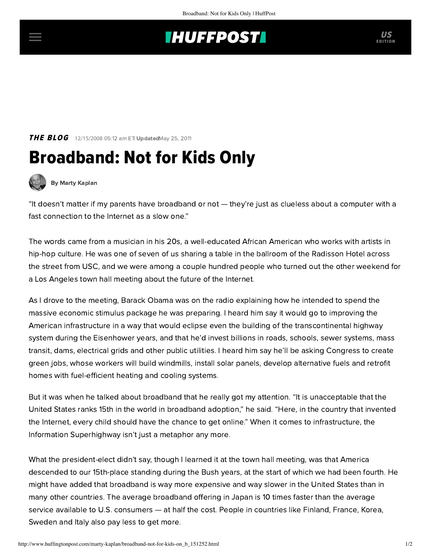## **INUFFPOSTI** US

**THE BLOG** 12/15/2008 05:12 am ETI UpdatedMay 25, 2011

## Broadband: Not for Kids Only



[By Marty Kaplan](http://www.huffingtonpost.com/author/marty-kaplan)

"It doesn't matter if my parents have broadband or not — they're just as clueless about a computer with a fast connection to the Internet as a slow one."

The words came from a musician in his 20s, a well-educated African American who works with artists in hip-hop culture. He was one of seven of us sharing a table in the ballroom of the Radisson Hotel across the street from USC, and we were among a couple hundred people who turned out the other weekend for a Los Angeles town hall meeting about the future of the Internet.

As I drove to the meeting, Barack Obama was on the radio explaining how he intended to spend the massive economic stimulus package he was preparing. I heard him say it would go to improving the American infrastructure in a way that would eclipse even the building of the transcontinental highway system during the Eisenhower years, and that he'd invest billions in roads, schools, sewer systems, mass transit, dams, electrical grids and other public utilities. I heard him say he'll be asking Congress to create green jobs, whose workers will build windmills, install solar panels, develop alternative fuels and retrofit homes with fuel-efficient heating and cooling systems.

But it was when he talked about broadband that he really got my attention. "It is unacceptable that the United States ranks 15th in the world in broadband adoption," he said. "Here, in the country that invented the Internet, every child should have the chance to get online." When it comes to infrastructure, the Information Superhighway isn't just a metaphor any more.

What the president-elect didn't say, though I learned it at the town hall meeting, was that America descended to our 15th-place standing during the Bush years, at the start of which we had been fourth. He might have added that broadband is way more expensive and way slower in the United States than in many other countries. The average broadband offering in Japan is 10 times faster than the average service available to U.S. consumers — at half the cost. People in countries like Finland, France, Korea, Sweden and Italy also pay less to get more.